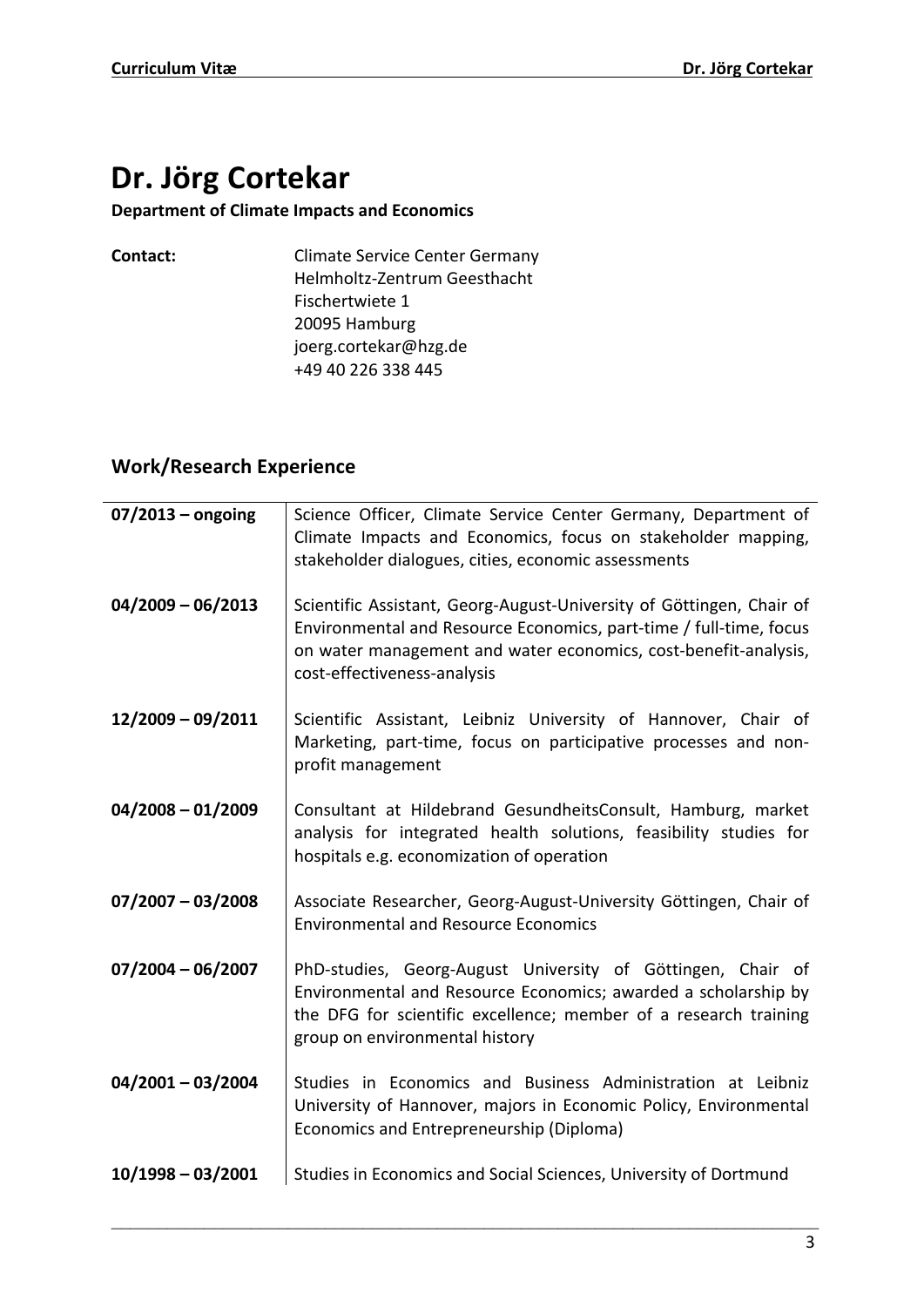# **Dr. Jörg Cortekar**

### **Department of Climate Impacts and Economics**

| Contact: | <b>Climate Service Center Germany</b> |
|----------|---------------------------------------|
|          | Helmholtz-Zentrum Geesthacht          |
|          | Fischertwiete 1                       |
|          | 20095 Hamburg                         |
|          | joerg.cortekar@hzg.de                 |
|          | +49 40 226 338 445                    |

## **Work/Research Experience**

| $07/2013$ – ongoing | Science Officer, Climate Service Center Germany, Department of<br>Climate Impacts and Economics, focus on stakeholder mapping,<br>stakeholder dialogues, cities, economic assessments                                                        |
|---------------------|----------------------------------------------------------------------------------------------------------------------------------------------------------------------------------------------------------------------------------------------|
| $04/2009 - 06/2013$ | Scientific Assistant, Georg-August-University of Göttingen, Chair of<br>Environmental and Resource Economics, part-time / full-time, focus<br>on water management and water economics, cost-benefit-analysis,<br>cost-effectiveness-analysis |
| $12/2009 - 09/2011$ | Scientific Assistant, Leibniz University of Hannover, Chair of<br>Marketing, part-time, focus on participative processes and non-<br>profit management                                                                                       |
| $04/2008 - 01/2009$ | Consultant at Hildebrand GesundheitsConsult, Hamburg, market<br>analysis for integrated health solutions, feasibility studies for<br>hospitals e.g. economization of operation                                                               |
| $07/2007 - 03/2008$ | Associate Researcher, Georg-August-University Göttingen, Chair of<br><b>Environmental and Resource Economics</b>                                                                                                                             |
| $07/2004 - 06/2007$ | PhD-studies, Georg-August University of Göttingen, Chair of<br>Environmental and Resource Economics; awarded a scholarship by<br>the DFG for scientific excellence; member of a research training<br>group on environmental history          |
| $04/2001 - 03/2004$ | Studies in Economics and Business Administration at Leibniz<br>University of Hannover, majors in Economic Policy, Environmental<br>Economics and Entrepreneurship (Diploma)                                                                  |
| $10/1998 - 03/2001$ | Studies in Economics and Social Sciences, University of Dortmund                                                                                                                                                                             |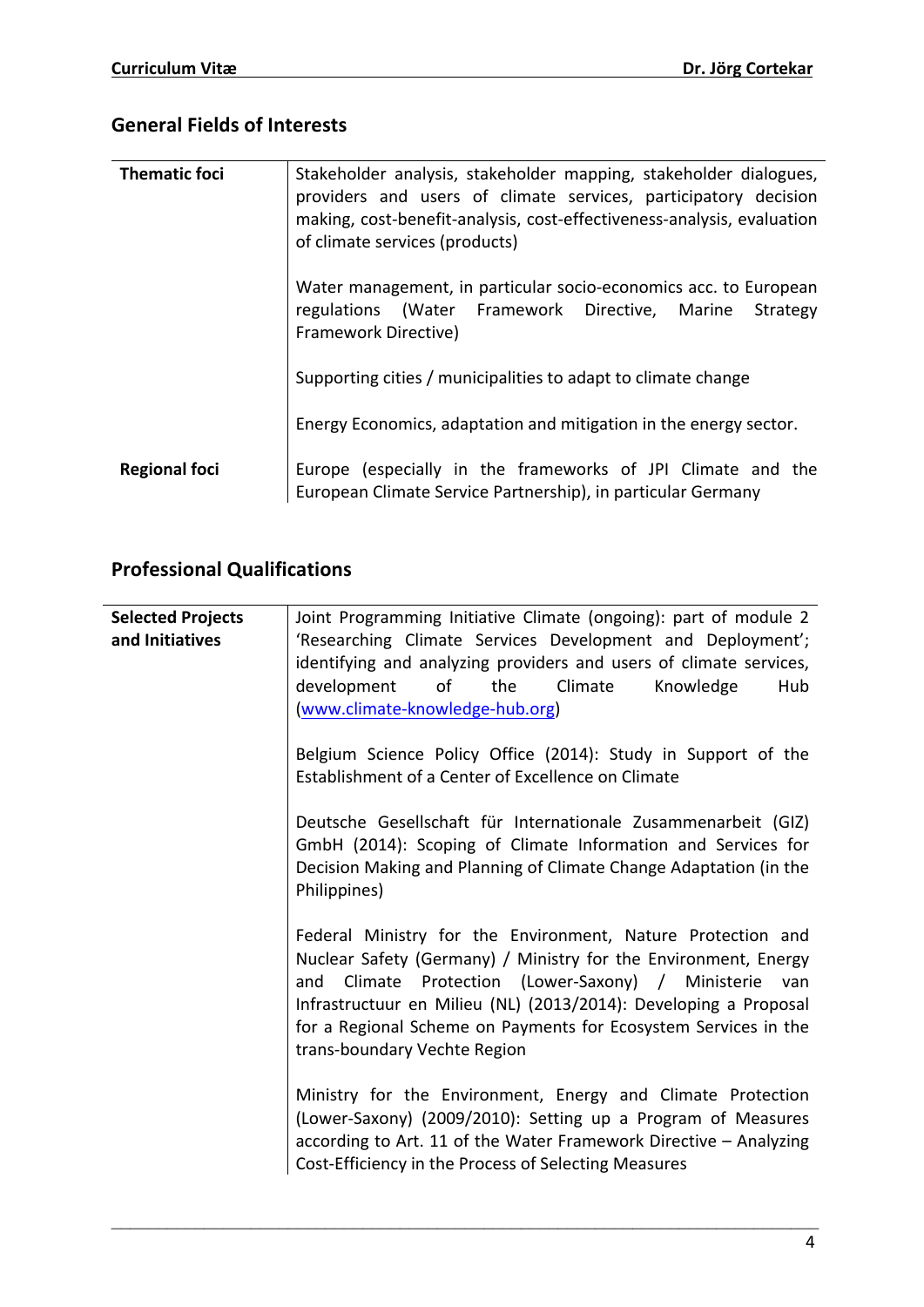## **General Fields of Interests**

| <b>Thematic foci</b> | Stakeholder analysis, stakeholder mapping, stakeholder dialogues,<br>providers and users of climate services, participatory decision<br>making, cost-benefit-analysis, cost-effectiveness-analysis, evaluation<br>of climate services (products) |
|----------------------|--------------------------------------------------------------------------------------------------------------------------------------------------------------------------------------------------------------------------------------------------|
|                      | Water management, in particular socio-economics acc. to European<br>regulations (Water Framework Directive, Marine<br>Strategy<br>Framework Directive)                                                                                           |
|                      | Supporting cities / municipalities to adapt to climate change                                                                                                                                                                                    |
|                      | Energy Economics, adaptation and mitigation in the energy sector.                                                                                                                                                                                |
| <b>Regional foci</b> | Europe (especially in the frameworks of JPI Climate and the<br>European Climate Service Partnership), in particular Germany                                                                                                                      |

# **Professional Qualifications**

| <b>Selected Projects</b><br>and Initiatives | Joint Programming Initiative Climate (ongoing): part of module 2<br>'Researching Climate Services Development and Deployment';<br>identifying and analyzing providers and users of climate services,<br>development<br>of<br>the<br>Climate<br>Knowledge<br>Hub<br>(www.climate-knowledge-hub.org)                                                                    |
|---------------------------------------------|-----------------------------------------------------------------------------------------------------------------------------------------------------------------------------------------------------------------------------------------------------------------------------------------------------------------------------------------------------------------------|
|                                             | Belgium Science Policy Office (2014): Study in Support of the<br>Establishment of a Center of Excellence on Climate                                                                                                                                                                                                                                                   |
|                                             | Deutsche Gesellschaft für Internationale Zusammenarbeit (GIZ)<br>GmbH (2014): Scoping of Climate Information and Services for<br>Decision Making and Planning of Climate Change Adaptation (in the<br>Philippines)                                                                                                                                                    |
|                                             | Federal Ministry for the Environment, Nature Protection and<br>Nuclear Safety (Germany) / Ministry for the Environment, Energy<br>Climate Protection (Lower-Saxony) / Ministerie<br>and<br>van<br>Infrastructuur en Milieu (NL) (2013/2014): Developing a Proposal<br>for a Regional Scheme on Payments for Ecosystem Services in the<br>trans-boundary Vechte Region |
|                                             | Ministry for the Environment, Energy and Climate Protection<br>(Lower-Saxony) (2009/2010): Setting up a Program of Measures<br>according to Art. 11 of the Water Framework Directive - Analyzing<br>Cost-Efficiency in the Process of Selecting Measures                                                                                                              |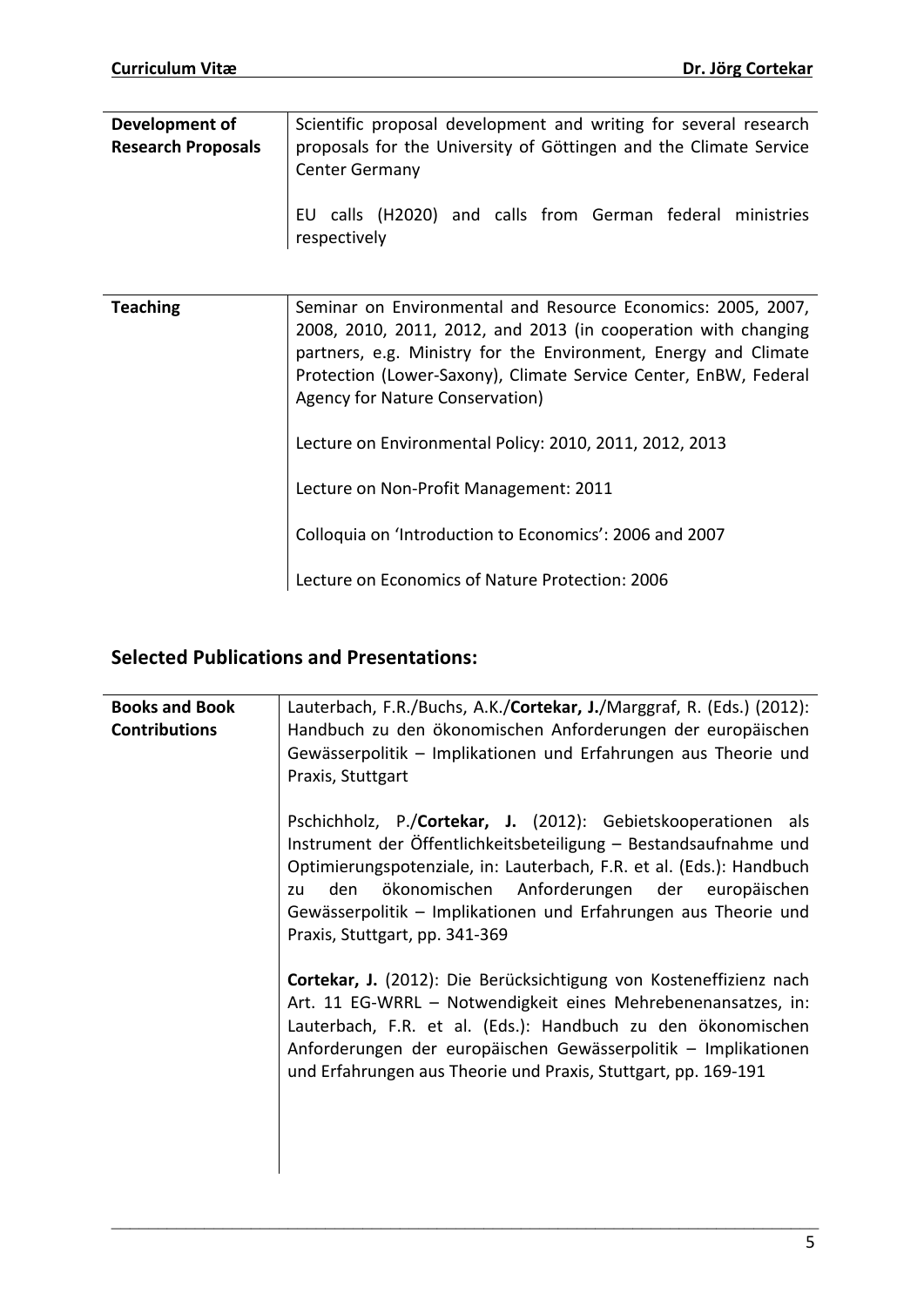| Development of<br><b>Research Proposals</b> | Scientific proposal development and writing for several research<br>proposals for the University of Göttingen and the Climate Service<br><b>Center Germany</b>                                                                                                                                           |
|---------------------------------------------|----------------------------------------------------------------------------------------------------------------------------------------------------------------------------------------------------------------------------------------------------------------------------------------------------------|
|                                             | EU calls (H2020) and calls from German federal ministries<br>respectively                                                                                                                                                                                                                                |
|                                             |                                                                                                                                                                                                                                                                                                          |
| <b>Teaching</b>                             | Seminar on Environmental and Resource Economics: 2005, 2007,<br>2008, 2010, 2011, 2012, and 2013 (in cooperation with changing<br>partners, e.g. Ministry for the Environment, Energy and Climate<br>Protection (Lower-Saxony), Climate Service Center, EnBW, Federal<br>Agency for Nature Conservation) |
|                                             | Lecture on Environmental Policy: 2010, 2011, 2012, 2013                                                                                                                                                                                                                                                  |
|                                             | Lecture on Non-Profit Management: 2011                                                                                                                                                                                                                                                                   |
|                                             | Colloquia on 'Introduction to Economics': 2006 and 2007                                                                                                                                                                                                                                                  |
|                                             | Lecture on Economics of Nature Protection: 2006                                                                                                                                                                                                                                                          |

### **Selected Publications and Presentations:**

| <b>Books and Book</b><br><b>Contributions</b> | Lauterbach, F.R./Buchs, A.K./Cortekar, J./Marggraf, R. (Eds.) (2012):<br>Handbuch zu den ökonomischen Anforderungen der europäischen<br>Gewässerpolitik - Implikationen und Erfahrungen aus Theorie und<br>Praxis, Stuttgart                                                                                                                                            |
|-----------------------------------------------|-------------------------------------------------------------------------------------------------------------------------------------------------------------------------------------------------------------------------------------------------------------------------------------------------------------------------------------------------------------------------|
|                                               | Pschichholz, P./Cortekar, J. (2012): Gebietskooperationen als<br>Instrument der Öffentlichkeitsbeteiligung - Bestandsaufnahme und<br>Optimierungspotenziale, in: Lauterbach, F.R. et al. (Eds.): Handbuch<br>den ökonomischen Anforderungen der europäischen<br>zu<br>Gewässerpolitik - Implikationen und Erfahrungen aus Theorie und<br>Praxis, Stuttgart, pp. 341-369 |
|                                               | Cortekar, J. (2012): Die Berücksichtigung von Kosteneffizienz nach<br>Art. 11 EG-WRRL - Notwendigkeit eines Mehrebenenansatzes, in:<br>Lauterbach, F.R. et al. (Eds.): Handbuch zu den ökonomischen<br>Anforderungen der europäischen Gewässerpolitik - Implikationen<br>und Erfahrungen aus Theorie und Praxis, Stuttgart, pp. 169-191                                 |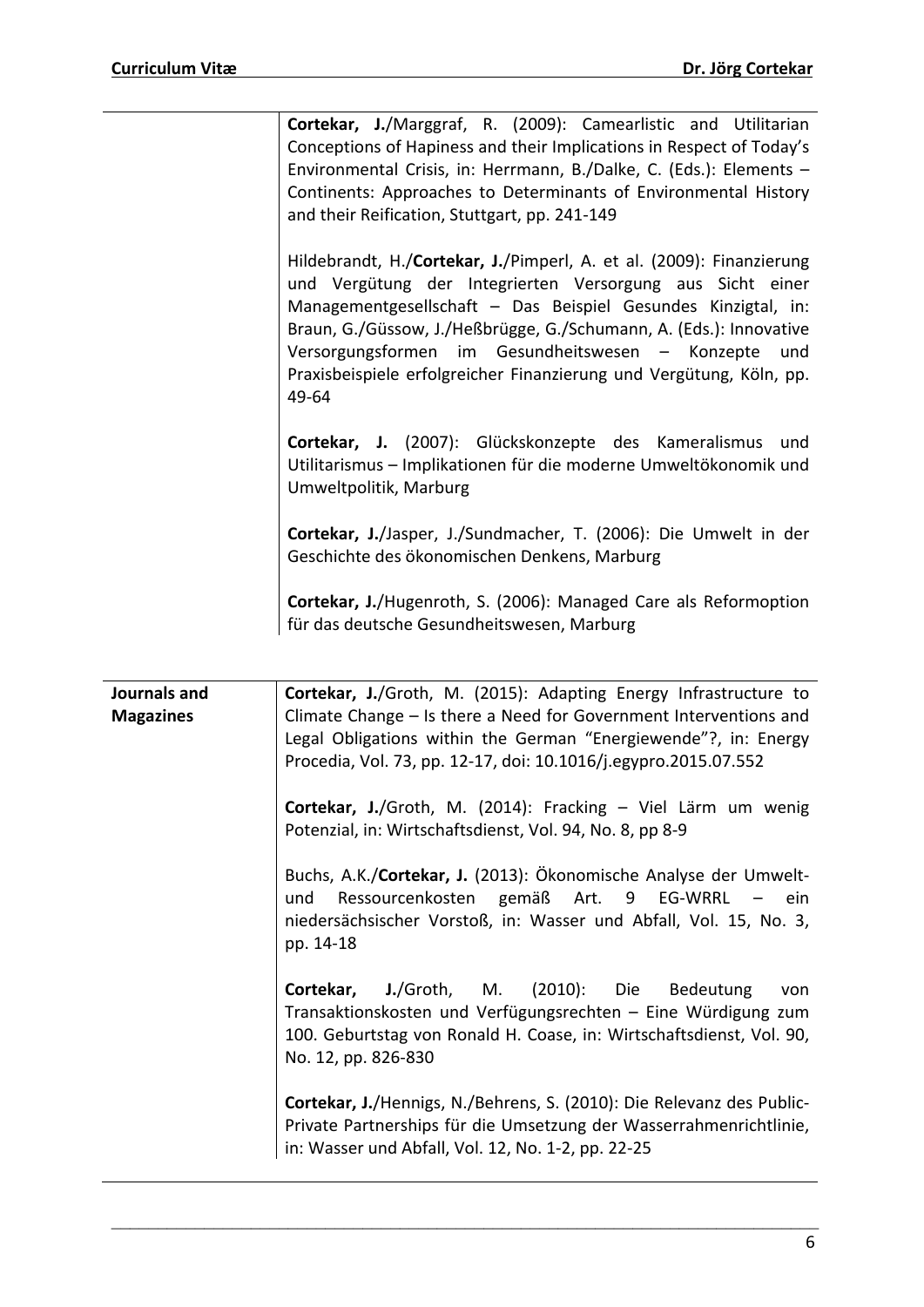**Cortekar, J./Marggraf, R. (2009): Camearlistic and Utilitarian** Conceptions of Hapiness and their Implications in Respect of Today's Environmental Crisis, in: Herrmann, B./Dalke, C. (Eds.): Elements  $-$ Continents: Approaches to Determinants of Environmental History and their Reification, Stuttgart, pp. 241-149

Hildebrandt, H./**Cortekar, J.**/Pimperl, A. et al. (2009): Finanzierung und Vergütung der Integrierten Versorgung aus Sicht einer Managementgesellschaft – Das Beispiel Gesundes Kinzigtal, in: Braun, G./Güssow, J./Heßbrügge, G./Schumann, A. (Eds.): Innovative Versorgungsformen im Gesundheitswesen - Konzepte und Praxisbeispiele erfolgreicher Finanzierung und Vergütung, Köln, pp. 49-64

Cortekar, J. (2007): Glückskonzepte des Kameralismus und Utilitarismus - Implikationen für die moderne Umweltökonomik und Umweltpolitik, Marburg

Cortekar, J./Jasper, J./Sundmacher, T. (2006): Die Umwelt in der Geschichte des ökonomischen Denkens, Marburg

**Cortekar, J./Hugenroth, S. (2006): Managed Care als Reformoption** für das deutsche Gesundheitswesen, Marburg

| Journals and<br><b>Magazines</b> | <b>Cortekar, J./Groth, M. (2015): Adapting Energy Infrastructure to</b><br>Climate Change - Is there a Need for Government Interventions and<br>Legal Obligations within the German "Energiewende"?, in: Energy<br>Procedia, Vol. 73, pp. 12-17, doi: 10.1016/j.egypro.2015.07.552 |
|----------------------------------|------------------------------------------------------------------------------------------------------------------------------------------------------------------------------------------------------------------------------------------------------------------------------------|
|                                  | Cortekar, J./Groth, M. (2014): Fracking - Viel Lärm um wenig<br>Potenzial, in: Wirtschaftsdienst, Vol. 94, No. 8, pp 8-9                                                                                                                                                           |
|                                  | Buchs, A.K./Cortekar, J. (2013): Ökonomische Analyse der Umwelt-<br>Ressourcenkosten gemäß Art. 9 EG-WRRL – ein<br>und<br>niedersächsischer Vorstoß, in: Wasser und Abfall, Vol. 15, No. 3,<br>pp. 14-18                                                                           |
|                                  | Cortekar, J./Groth, M. (2010): Die Bedeutung<br>von<br>Transaktionskosten und Verfügungsrechten - Eine Würdigung zum<br>100. Geburtstag von Ronald H. Coase, in: Wirtschaftsdienst, Vol. 90,<br>No. 12, pp. 826-830                                                                |
|                                  | Cortekar, J./Hennigs, N./Behrens, S. (2010): Die Relevanz des Public-<br>Private Partnerships für die Umsetzung der Wasserrahmenrichtlinie,<br>in: Wasser und Abfall, Vol. 12, No. 1-2, pp. 22-25                                                                                  |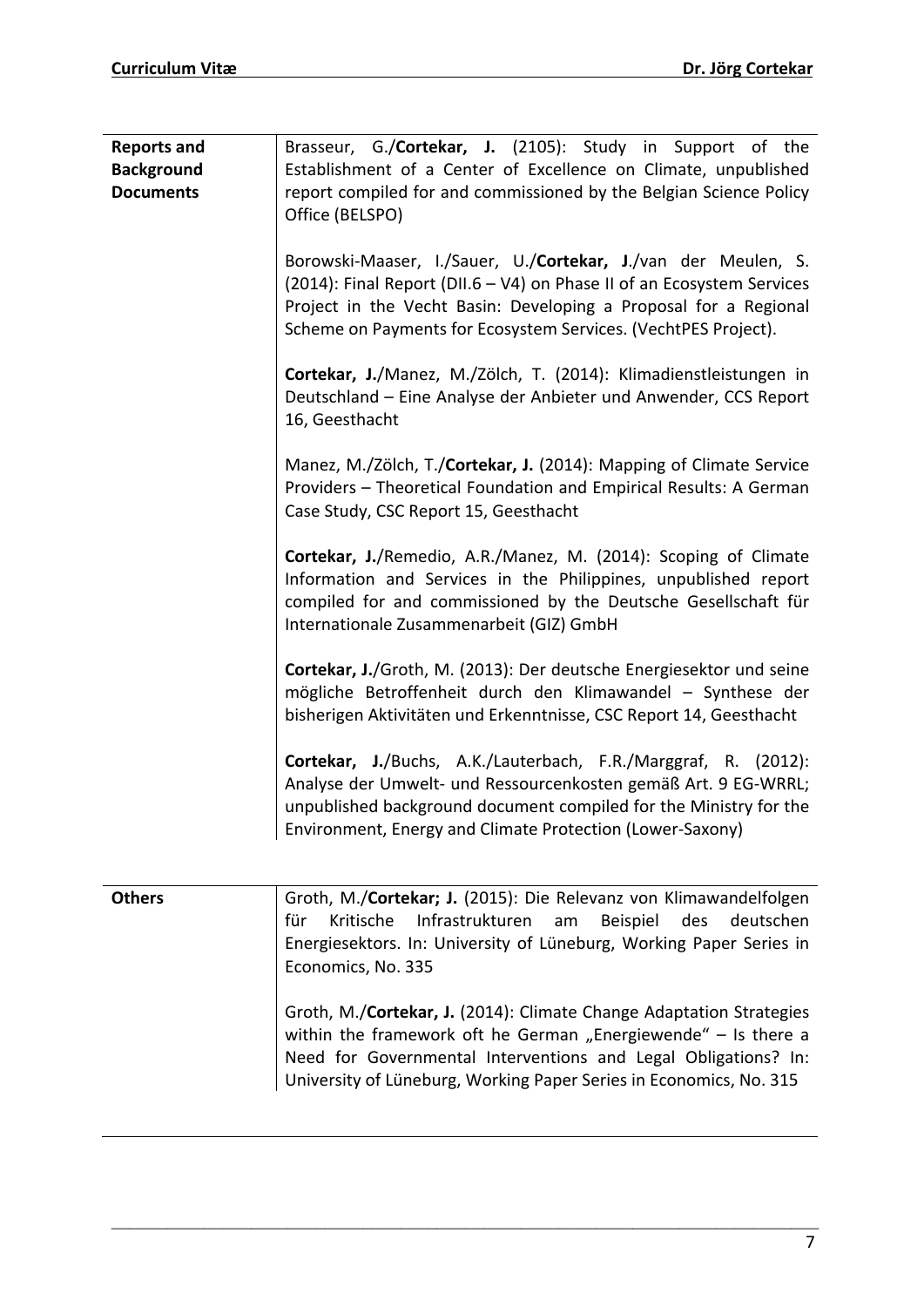| <b>Reports and</b><br><b>Background</b><br><b>Documents</b> | Brasseur, G./Cortekar, J. (2105): Study in Support of the<br>Establishment of a Center of Excellence on Climate, unpublished<br>report compiled for and commissioned by the Belgian Science Policy<br>Office (BELSPO)                                                         |
|-------------------------------------------------------------|-------------------------------------------------------------------------------------------------------------------------------------------------------------------------------------------------------------------------------------------------------------------------------|
|                                                             | Borowski-Maaser, I./Sauer, U./Cortekar, J./van der Meulen, S.<br>(2014): Final Report (DII.6 - V4) on Phase II of an Ecosystem Services<br>Project in the Vecht Basin: Developing a Proposal for a Regional<br>Scheme on Payments for Ecosystem Services. (VechtPES Project). |
|                                                             | Cortekar, J./Manez, M./Zölch, T. (2014): Klimadienstleistungen in<br>Deutschland - Eine Analyse der Anbieter und Anwender, CCS Report<br>16, Geesthacht                                                                                                                       |
|                                                             | Manez, M./Zölch, T./Cortekar, J. (2014): Mapping of Climate Service<br>Providers - Theoretical Foundation and Empirical Results: A German<br>Case Study, CSC Report 15, Geesthacht                                                                                            |
|                                                             | Cortekar, J./Remedio, A.R./Manez, M. (2014): Scoping of Climate<br>Information and Services in the Philippines, unpublished report<br>compiled for and commissioned by the Deutsche Gesellschaft für<br>Internationale Zusammenarbeit (GIZ) GmbH                              |
|                                                             | Cortekar, J./Groth, M. (2013): Der deutsche Energiesektor und seine<br>mögliche Betroffenheit durch den Klimawandel - Synthese der<br>bisherigen Aktivitäten und Erkenntnisse, CSC Report 14, Geesthacht                                                                      |
|                                                             | Cortekar, J./Buchs, A.K./Lauterbach, F.R./Marggraf, R. (2012):<br>Analyse der Umwelt- und Ressourcenkosten gemäß Art. 9 EG-WRRL;<br>unpublished background document compiled for the Ministry for the<br>Environment, Energy and Climate Protection (Lower-Saxony)            |

| <b>Others</b> | Groth, M./Cortekar; J. (2015): Die Relevanz von Klimawandelfolgen<br>Kritische Infrastrukturen am Beispiel des deutschen<br>für<br>Energiesektors. In: University of Lüneburg, Working Paper Series in<br>Economics, No. 335                                                  |
|---------------|-------------------------------------------------------------------------------------------------------------------------------------------------------------------------------------------------------------------------------------------------------------------------------|
|               | Groth, M./Cortekar, J. (2014): Climate Change Adaptation Strategies<br>within the framework oft he German "Energiewende" - Is there a<br>Need for Governmental Interventions and Legal Obligations? In:<br>University of Lüneburg, Working Paper Series in Economics, No. 315 |